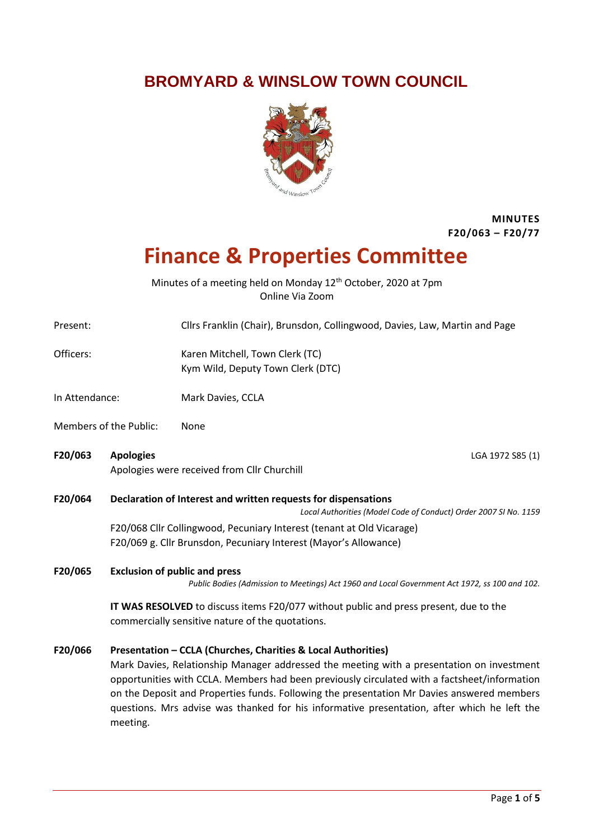# **BROMYARD & WINSLOW TOWN COUNCIL**



### **MINUTES F20/063 – F20/77**

# **Finance & Properties Committee**

Minutes of a meeting held on Monday 12<sup>th</sup> October, 2020 at 7pm Online Via Zoom

Present: Cllrs Franklin (Chair), Brunsdon, Collingwood, Davies, Law, Martin and Page

Officers: Karen Mitchell, Town Clerk (TC) Kym Wild, Deputy Town Clerk (DTC)

- In Attendance: Mark Davies, CCLA
- Members of the Public: None
- **F20/063 Apologies** LGA 1972 S85 (1) Apologies were received from Cllr Churchill

**F20/064 Declaration of Interest and written requests for dispensations**

*Local Authorities (Model Code of Conduct) Order 2007 SI No. 1159*

F20/068 Cllr Collingwood, Pecuniary Interest (tenant at Old Vicarage) F20/069 g. Cllr Brunsdon, Pecuniary Interest (Mayor's Allowance)

**F20/065 Exclusion of public and press**

*Public Bodies (Admission to Meetings) Act 1960 and Local Government Act 1972, ss 100 and 102.*

**IT WAS RESOLVED** to discuss items F20/077 without public and press present, due to the commercially sensitive nature of the quotations.

#### **F20/066 Presentation – CCLA (Churches, Charities & Local Authorities)**

Mark Davies, Relationship Manager addressed the meeting with a presentation on investment opportunities with CCLA. Members had been previously circulated with a factsheet/information on the Deposit and Properties funds. Following the presentation Mr Davies answered members questions. Mrs advise was thanked for his informative presentation, after which he left the meeting.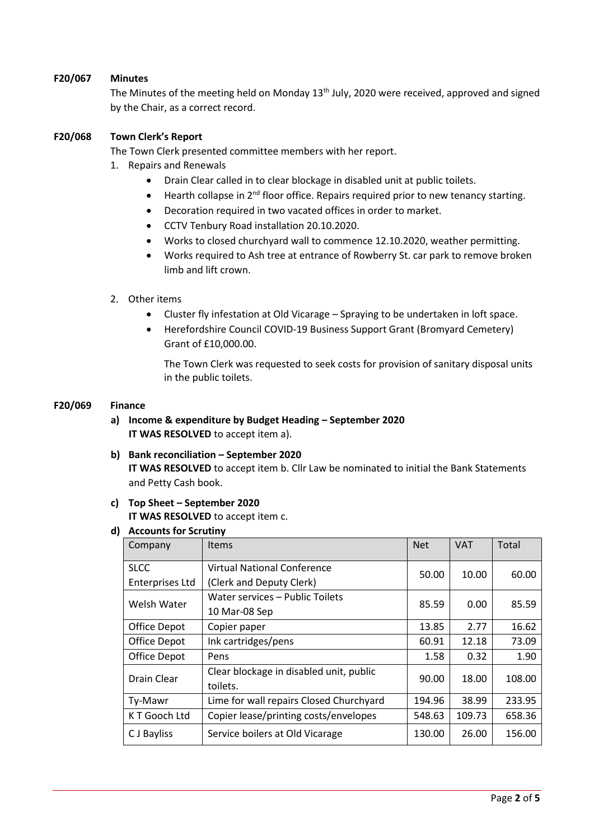#### **F20/067 Minutes**

The Minutes of the meeting held on Monday 13<sup>th</sup> July, 2020 were received, approved and signed by the Chair, as a correct record.

#### **F20/068 Town Clerk's Report**

The Town Clerk presented committee members with her report.

- 1. Repairs and Renewals
	- Drain Clear called in to clear blockage in disabled unit at public toilets.
	- $\bullet$  Hearth collapse in 2<sup>nd</sup> floor office. Repairs required prior to new tenancy starting.
	- Decoration required in two vacated offices in order to market.
	- CCTV Tenbury Road installation 20.10.2020.
	- Works to closed churchyard wall to commence 12.10.2020, weather permitting.
	- Works required to Ash tree at entrance of Rowberry St. car park to remove broken limb and lift crown.

#### 2. Other items

- Cluster fly infestation at Old Vicarage Spraying to be undertaken in loft space.
- Herefordshire Council COVID-19 Business Support Grant (Bromyard Cemetery) Grant of £10,000.00.

The Town Clerk was requested to seek costs for provision of sanitary disposal units in the public toilets.

#### **F20/069 Finance**

- **a) Income & expenditure by Budget Heading – September 2020 IT WAS RESOLVED** to accept item a).
- **b) Bank reconciliation – September 2020 IT WAS RESOLVED** to accept item b. Cllr Law be nominated to initial the Bank Statements and Petty Cash book.

#### **c) Top Sheet – September 2020 IT WAS RESOLVED** to accept item c.

#### **d) Accounts for Scrutiny**

| Company                | <b>Items</b>                            | <b>Net</b> | <b>VAT</b> | Total  |
|------------------------|-----------------------------------------|------------|------------|--------|
| <b>SLCC</b>            | <b>Virtual National Conference</b>      | 50.00      | 10.00      | 60.00  |
| <b>Enterprises Ltd</b> | (Clerk and Deputy Clerk)                |            |            |        |
| Welsh Water            | Water services - Public Toilets         | 85.59      | 0.00       | 85.59  |
|                        | 10 Mar-08 Sep                           |            |            |        |
| Office Depot           | Copier paper                            | 13.85      | 2.77       | 16.62  |
| Office Depot           | Ink cartridges/pens                     | 60.91      | 12.18      | 73.09  |
| Office Depot           | Pens                                    | 1.58       | 0.32       | 1.90   |
| Drain Clear            | Clear blockage in disabled unit, public | 90.00      | 18.00      | 108.00 |
|                        | toilets.                                |            |            |        |
| Ty-Mawr                | Lime for wall repairs Closed Churchyard | 194.96     | 38.99      | 233.95 |
| K T Gooch Ltd          | Copier lease/printing costs/envelopes   | 548.63     | 109.73     | 658.36 |
| C J Bayliss            | Service boilers at Old Vicarage         | 130.00     | 26.00      | 156.00 |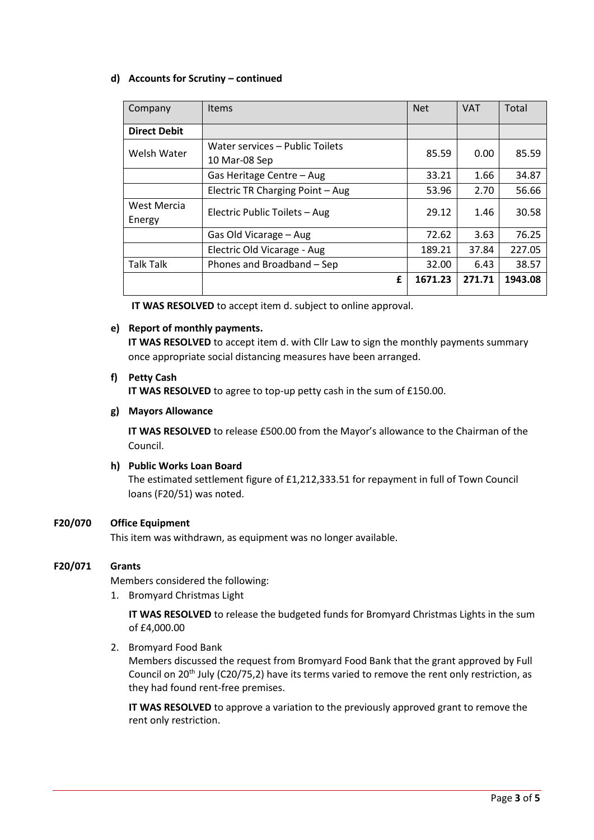#### **d) Accounts for Scrutiny – continued**

| Company               | <b>Items</b>                                     | <b>Net</b> | <b>VAT</b> | Total   |
|-----------------------|--------------------------------------------------|------------|------------|---------|
| <b>Direct Debit</b>   |                                                  |            |            |         |
| Welsh Water           | Water services - Public Toilets<br>10 Mar-08 Sep | 85.59      | 0.00       | 85.59   |
|                       | Gas Heritage Centre - Aug                        | 33.21      | 1.66       | 34.87   |
|                       | Electric TR Charging Point - Aug                 | 53.96      | 2.70       | 56.66   |
| West Mercia<br>Energy | Electric Public Toilets - Aug                    | 29.12      | 1.46       | 30.58   |
|                       | Gas Old Vicarage - Aug                           | 72.62      | 3.63       | 76.25   |
|                       | Electric Old Vicarage - Aug                      | 189.21     | 37.84      | 227.05  |
| <b>Talk Talk</b>      | Phones and Broadband - Sep                       | 32.00      | 6.43       | 38.57   |
|                       | £                                                | 1671.23    | 271.71     | 1943.08 |

**IT WAS RESOLVED** to accept item d. subject to online approval.

#### **e) Report of monthly payments.**

**IT WAS RESOLVED** to accept item d. with Cllr Law to sign the monthly payments summary once appropriate social distancing measures have been arranged.

#### **f) Petty Cash**

**IT WAS RESOLVED** to agree to top-up petty cash in the sum of £150.00.

#### **g) Mayors Allowance**

**IT WAS RESOLVED** to release £500.00 from the Mayor's allowance to the Chairman of the Council.

#### **h) Public Works Loan Board**

The estimated settlement figure of £1,212,333.51 for repayment in full of Town Council loans (F20/51) was noted.

#### **F20/070 Office Equipment**

This item was withdrawn, as equipment was no longer available.

#### **F20/071 Grants**

Members considered the following:

1. Bromyard Christmas Light

**IT WAS RESOLVED** to release the budgeted funds for Bromyard Christmas Lights in the sum of £4,000.00

2. Bromyard Food Bank

Members discussed the request from Bromyard Food Bank that the grant approved by Full Council on 20<sup>th</sup> July (C20/75,2) have its terms varied to remove the rent only restriction, as they had found rent-free premises.

**IT WAS RESOLVED** to approve a variation to the previously approved grant to remove the rent only restriction.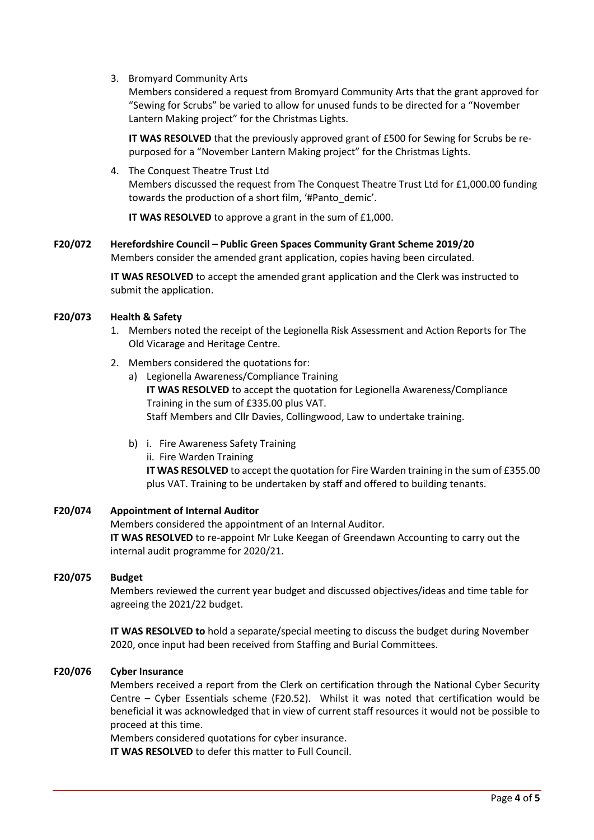3. Bromyard Community Arts

Members considered a request from Bromyard Community Arts that the grant approved for "Sewing for Scrubs" be varied to allow for unused funds to be directed for a "November Lantern Making project" for the Christmas Lights.

**IT WAS RESOLVED** that the previously approved grant of £500 for Sewing for Scrubs be repurposed for a "November Lantern Making project" for the Christmas Lights.

4. The Conquest Theatre Trust Ltd Members discussed the request from The Conquest Theatre Trust Ltd for £1,000.00 funding towards the production of a short film, '#Panto\_demic'.

**IT WAS RESOLVED** to approve a grant in the sum of £1,000.

**F20/072 Herefordshire Council – Public Green Spaces Community Grant Scheme 2019/20** Members consider the amended grant application, copies having been circulated.

> **IT WAS RESOLVED** to accept the amended grant application and the Clerk was instructed to submit the application.

#### **F20/073 Health & Safety**

- 1. Members noted the receipt of the Legionella Risk Assessment and Action Reports for The Old Vicarage and Heritage Centre.
- 2. Members considered the quotations for:
	- a) Legionella Awareness/Compliance Training **IT WAS RESOLVED** to accept the quotation for Legionella Awareness/Compliance Training in the sum of £335.00 plus VAT. Staff Members and Cllr Davies, Collingwood, Law to undertake training.
	- b) i. Fire Awareness Safety Training
		- ii. Fire Warden Training

**IT WAS RESOLVED** to accept the quotation for Fire Warden training in the sum of £355.00 plus VAT. Training to be undertaken by staff and offered to building tenants.

## **F20/074 Appointment of Internal Auditor** Members considered the appointment of an Internal Auditor. **IT WAS RESOLVED** to re-appoint Mr Luke Keegan of Greendawn Accounting to carry out the internal audit programme for 2020/21.

#### **F20/075 Budget**

Members reviewed the current year budget and discussed objectives/ideas and time table for agreeing the 2021/22 budget.

**IT WAS RESOLVED to** hold a separate/special meeting to discuss the budget during November 2020, once input had been received from Staffing and Burial Committees.

#### **F20/076 Cyber Insurance**

Members received a report from the Clerk on certification through the National Cyber Security Centre – Cyber Essentials scheme (F20.52). Whilst it was noted that certification would be beneficial it was acknowledged that in view of current staff resources it would not be possible to proceed at this time.

Members considered quotations for cyber insurance.

**IT WAS RESOLVED** to defer this matter to Full Council.